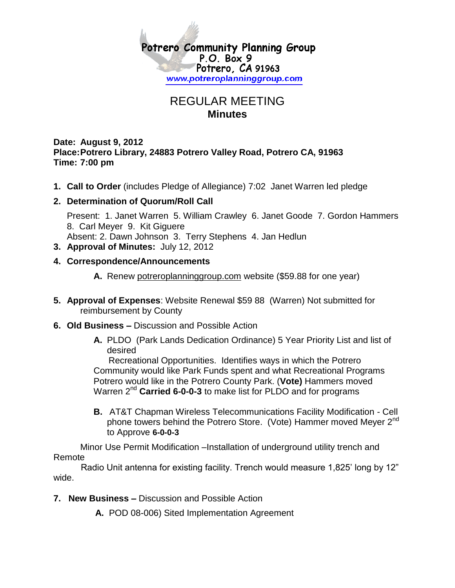

## REGULAR MEETING **Minutes**

**Date: August 9, 2012 Place:Potrero Library, 24883 Potrero Valley Road, Potrero CA, 91963 Time: 7:00 pm**

- **1. Call to Order** (includes Pledge of Allegiance) 7:02 Janet Warren led pledge
- **2. Determination of Quorum/Roll Call**

Present: 1. Janet Warren 5. William Crawley 6. Janet Goode 7. Gordon Hammers 8. Carl Meyer 9. Kit Giguere Absent: 2. Dawn Johnson 3. Terry Stephens 4. Jan Hedlun

**3. Approval of Minutes:** July 12, 2012

## **4. Correspondence/Announcements**

- **A.** Renew potreroplanninggroup.com website (\$59.88 for one year)
- **5. Approval of Expenses**: Website Renewal \$59 88 (Warren) Not submitted for reimbursement by County
- **6. Old Business –** Discussion and Possible Action
	- **A.** PLDO (Park Lands Dedication Ordinance) 5 Year Priority List and list of desired

 Recreational Opportunities. Identifies ways in which the Potrero Community would like Park Funds spent and what Recreational Programs Potrero would like in the Potrero County Park. (**Vote)** Hammers moved Warren 2<sup>nd</sup> Carried 6-0-0-3 to make list for PLDO and for programs

**B.** AT&T Chapman Wireless Telecommunications Facility Modification - Cell phone towers behind the Potrero Store. (Vote) Hammer moved Meyer 2<sup>nd</sup> to Approve **6-0-0-3**

Minor Use Permit Modification –Installation of underground utility trench and Remote

 Radio Unit antenna for existing facility. Trench would measure 1,825' long by 12" wide.

- **7. New Business –** Discussion and Possible Action
	- **A.** POD 08-006) Sited Implementation Agreement